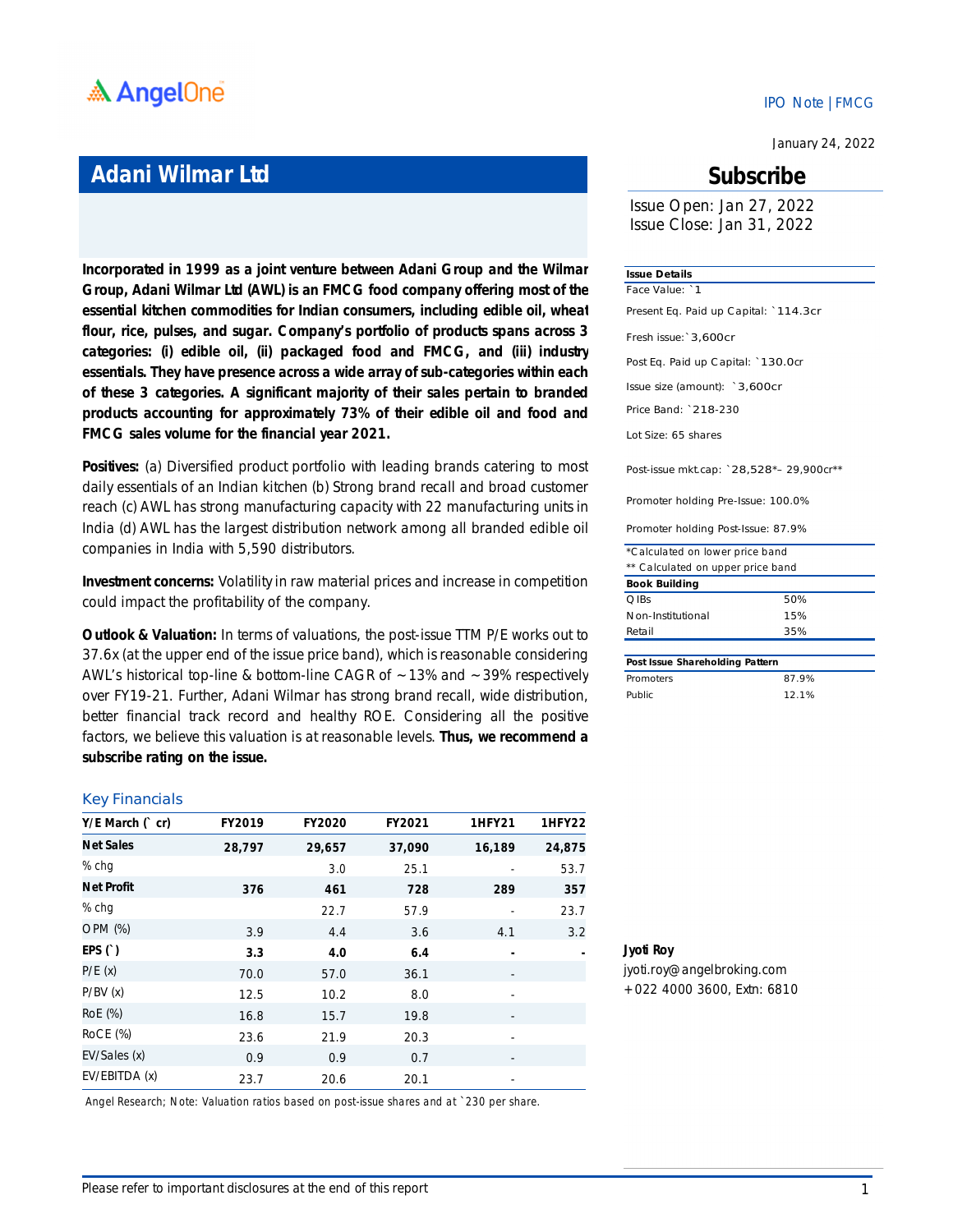

### **Adani Wilmar Ltd**

**Incorporated in 1999 as a joint venture between Adani Group and the Wilmar Group, Adani Wilmar Ltd (AWL) is an FMCG food company offering most of the essential kitchen commodities for Indian consumers, including edible oil, wheat flour, rice, pulses, and sugar. Company's portfolio of products spans across 3 categories: (i) edible oil, (ii) packaged food and FMCG, and (iii) industry essentials. They have presence across a wide array of sub-categories within each of these 3 categories. A significant majority of their sales pertain to branded products accounting for approximately 73% of their edible oil and food and FMCG sales volume for the financial year 2021.**

**Positives:** (a) Diversified product portfolio with leading brands catering to most daily essentials of an Indian kitchen (b) Strong brand recall and broad customer reach (c) AWL has strong manufacturing capacity with 22 manufacturing units in India (d) AWL has the largest distribution network among all branded edible oil companies in India with 5,590 distributors.

**Investment concerns:** Volatility in raw material prices and increase in competition could impact the profitability of the company.

**Outlook & Valuation:** In terms of valuations, the post-issue TTM P/E works out to 37.6x (at the upper end of the issue price band), which is reasonable considering AWL's historical top-line & bottom-line CAGR of  $\sim$  13% and  $\sim$  39% respectively over FY19-21. Further, Adani Wilmar has strong brand recall, wide distribution, better financial track record and healthy ROE. Considering all the positive factors, we believe this valuation is at reasonable levels. **Thus, we recommend a subscribe rating on the issue.**

#### Key Financials

| $Y/E$ March $($ cr) | FY2019 | <b>FY2020</b> | FY2021 | <b>1HFY21</b>            | <b>1HFY22</b> |
|---------------------|--------|---------------|--------|--------------------------|---------------|
| <b>Net Sales</b>    | 28,797 | 29,657        | 37,090 | 16,189                   | 24,875        |
| % chg               |        | 3.0           | 25.1   |                          | 53.7          |
| <b>Net Profit</b>   | 376    | 461           | 728    | 289                      | 357           |
| % chg               |        | 22.7          | 57.9   |                          | 23.7          |
| OPM (%)             | 3.9    | 4.4           | 3.6    | 4.1                      | 3.2           |
| EPS $()$            | 3.3    | 4.0           | 6.4    |                          |               |
| P/E(x)              | 70.0   | 57.0          | 36.1   |                          |               |
| P/BV(x)             | 12.5   | 10.2          | 8.0    | -                        |               |
| RoE (%)             | 16.8   | 15.7          | 19.8   |                          |               |
| RoCE (%)            | 23.6   | 21.9          | 20.3   | $\overline{\phantom{a}}$ |               |
| EV/Sales (x)        | 0.9    | 0.9           | 0.7    | -                        |               |
| EV/EBITDA (x)       | 23.7   | 20.6          | 20.1   |                          |               |

*Angel Research; Note: Valuation ratios based on post-issue shares and at `230 per share.*

#### IPO Note |FMCG

January 24, 2022

### **Subscribe**

Issue Open: Jan 27, 2022 Issue Close: Jan 31, 2022

#### **Issue Details**

Post Eq. Paid up Capital: `130.0cr Issue size (amount): `3,600cr Price Band: `218-230 Lot Size: 65 shares Post-issue mkt.cap: `28,528\*– 29,900cr\*\* Promoter holding Pre-Issue: 100.0% Fresh issue:`3,600cr Face Value: `1 Present Eq. Paid up Capital: `114.3cr

Promoter holding Post-Issue: 87.9%

| *Calculated on lower price band   |     |  |  |
|-----------------------------------|-----|--|--|
| ** Calculated on upper price band |     |  |  |
| <b>Book Building</b>              |     |  |  |
| OIBs                              | 50% |  |  |
| Non-Institutional                 | 15% |  |  |
| Retail                            | 35% |  |  |
|                                   |     |  |  |

| Post Issue Shareholding Pattern |       |  |  |
|---------------------------------|-------|--|--|
| Promoters                       | 87.9% |  |  |
| Public.                         | 12.1% |  |  |

**Jyoti Roy** jyoti.roy@angelbroking.com

+022 4000 3600, Extn: 6810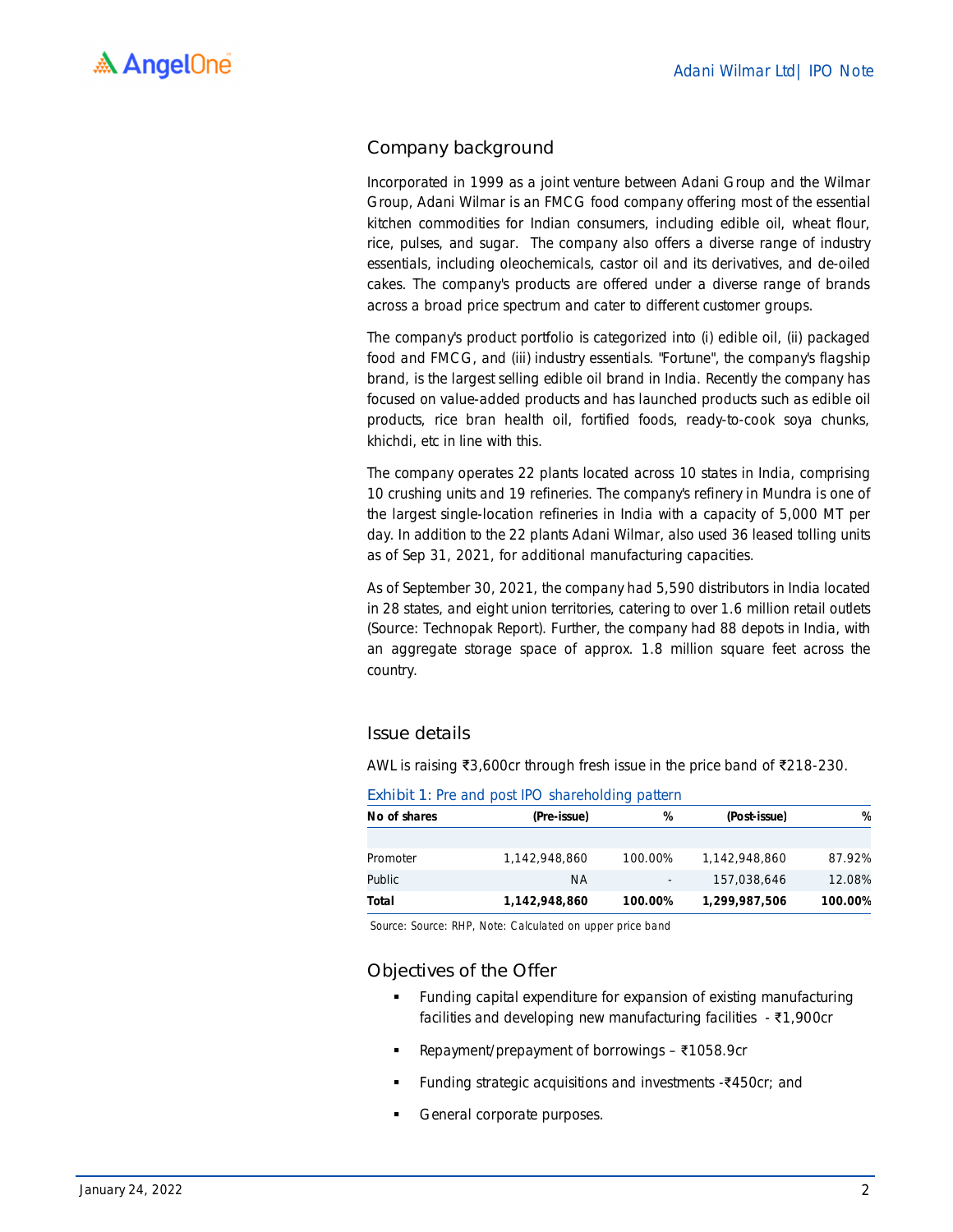### Company background

Incorporated in 1999 as a joint venture between Adani Group and the Wilmar Group, Adani Wilmar is an FMCG food company offering most of the essential kitchen commodities for Indian consumers, including edible oil, wheat flour, rice, pulses, and sugar. The company also offers a diverse range of industry essentials, including oleochemicals, castor oil and its derivatives, and de-oiled cakes. The company's products are offered under a diverse range of brands across a broad price spectrum and cater to different customer groups.

The company's product portfolio is categorized into (i) edible oil, (ii) packaged food and FMCG, and (iii) industry essentials. "Fortune", the company's flagship brand, is the largest selling edible oil brand in India. Recently the company has focused on value-added products and has launched products such as edible oil products, rice bran health oil, fortified foods, ready-to-cook soya chunks, khichdi, etc in line with this.

The company operates 22 plants located across 10 states in India, comprising 10 crushing units and 19 refineries. The company's refinery in Mundra is one of the largest single-location refineries in India with a capacity of 5,000 MT per day. In addition to the 22 plants Adani Wilmar, also used 36 leased tolling units as of Sep 31, 2021, for additional manufacturing capacities.

As of September 30, 2021, the company had 5,590 distributors in India located in 28 states, and eight union territories, catering to over 1.6 million retail outlets (Source: Technopak Report). Further, the company had 88 depots in India, with an aggregate storage space of approx. 1.8 million square feet across the country.

### Issue details

AWL is raising ₹3,600cr through fresh issue in the price band of ₹218-230.

| No of shares | (Pre-issue)   | %       | (Post-issue)  | %       |
|--------------|---------------|---------|---------------|---------|
|              |               |         |               |         |
| Promoter     | 1,142,948,860 | 100.00% | 1,142,948,860 | 87.92%  |
| Public       | ΝA            | ٠       | 157,038,646   | 12.08%  |
| Total        | 1,142,948,860 | 100.00% | 1,299,987,506 | 100.00% |

Exhibit 1: Pre and post IPO shareholding pattern

*Source: Source: RHP, Note: Calculated on upper price band*

### Objectives of the Offer

- Funding capital expenditure for expansion of existing manufacturing facilities and developing new manufacturing facilities - ₹1,900cr
- Repayment/prepayment of borrowings ₹1058.9cr
- Funding strategic acquisitions and investments -₹450cr; and
- General corporate purposes.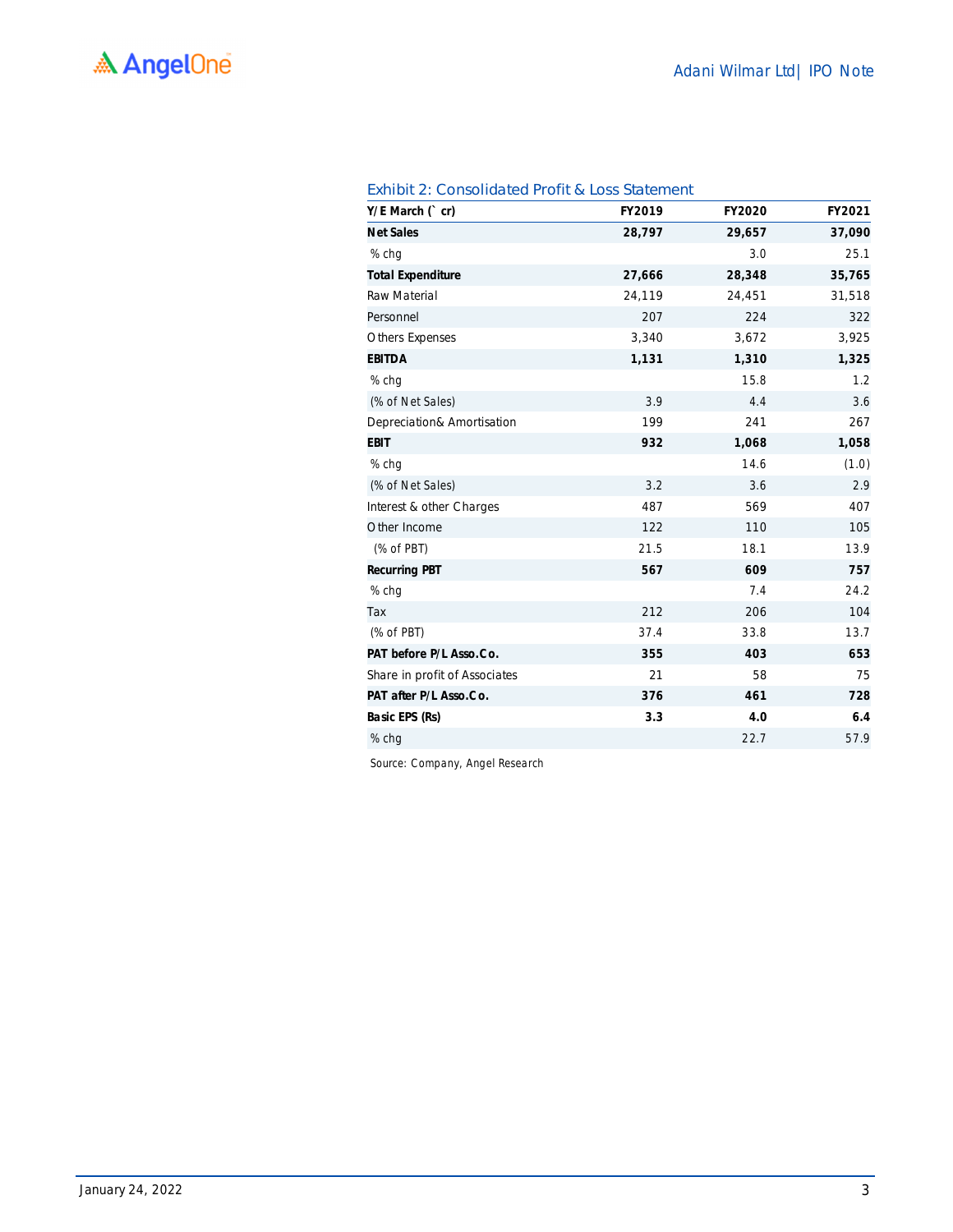| Y/E March (`cr)               | FY2019 | FY2020 | FY2021 |
|-------------------------------|--------|--------|--------|
| <b>Net Sales</b>              | 28,797 | 29,657 | 37,090 |
| % chq                         |        | 3.0    | 25.1   |
| <b>Total Expenditure</b>      | 27,666 | 28,348 | 35,765 |
| <b>Raw Material</b>           | 24,119 | 24,451 | 31,518 |
| Personnel                     | 207    | 224    | 322    |
| <b>Others Expenses</b>        | 3,340  | 3,672  | 3,925  |
| <b>EBITDA</b>                 | 1,131  | 1,310  | 1,325  |
| % chq                         |        | 15.8   | 1.2    |
| (% of Net Sales)              | 3.9    | 4.4    | 3.6    |
| Depreciation& Amortisation    | 199    | 241    | 267    |
| <b>EBIT</b>                   | 932    | 1,068  | 1,058  |
| % chq                         |        | 14.6   | (1.0)  |
| (% of Net Sales)              | 3.2    | 3.6    | 2.9    |
| Interest & other Charges      | 487    | 569    | 407    |
| Other Income                  | 122    | 110    | 105    |
| $(%$ of PBT)                  | 21.5   | 18.1   | 13.9   |
| <b>Recurring PBT</b>          | 567    | 609    | 757    |
| % chg                         |        | 7.4    | 24.2   |
| Tax                           | 212    | 206    | 104    |
| $(%$ of PBT)                  | 37.4   | 33.8   | 13.7   |
| PAT before P/L Asso.Co.       | 355    | 403    | 653    |
| Share in profit of Associates | 21     | 58     | 75     |
| PAT after P/L Asso.Co.        | 376    | 461    | 728    |
| Basic EPS (Rs)                | 3.3    | 4.0    | 6.4    |
| % chg                         |        | 22.7   | 57.9   |

### Exhibit 2: Consolidated Profit & Loss Statement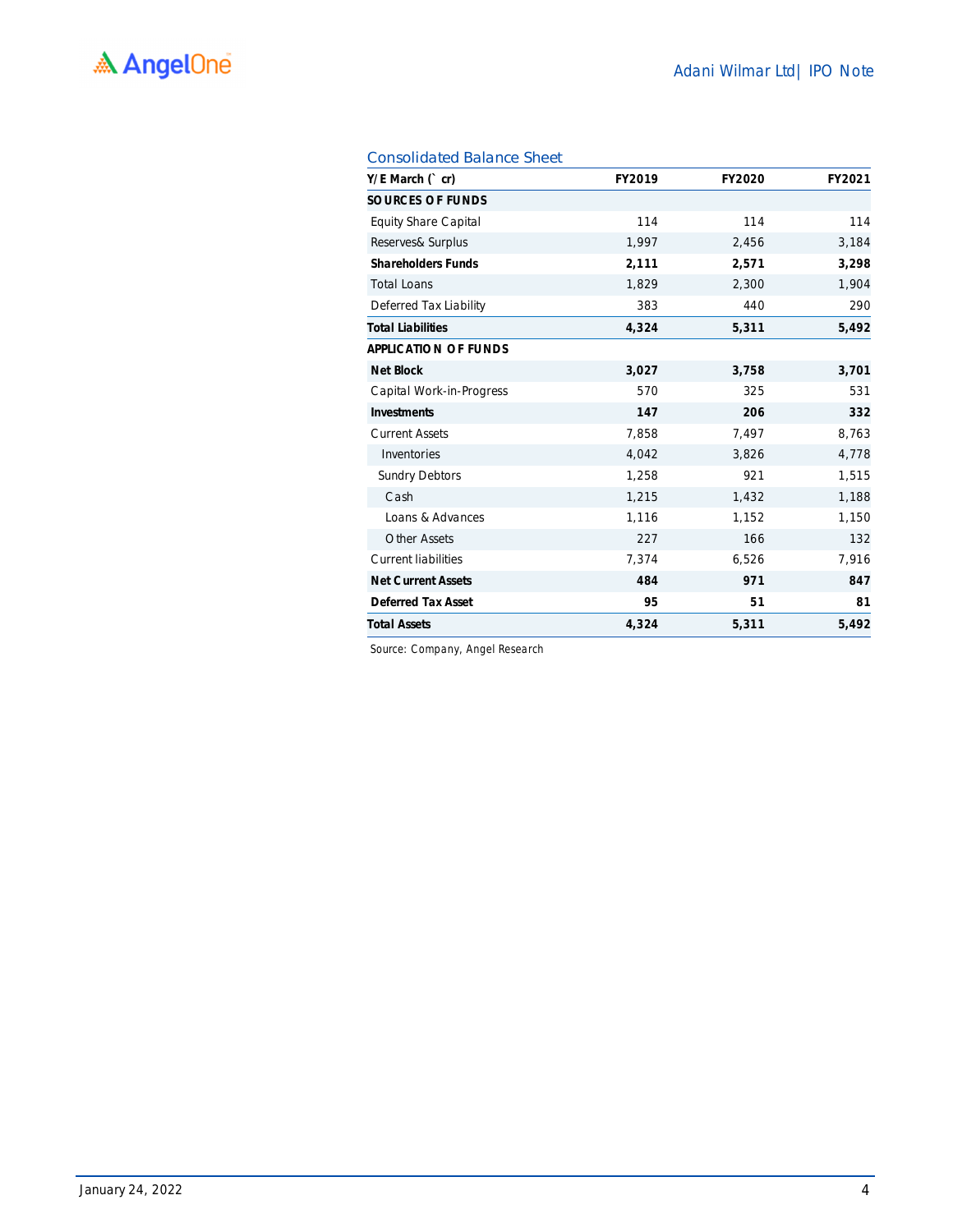| $Y/E$ March $('cr)$         | <b>FY2019</b> | <b>FY2020</b> | FY2021 |
|-----------------------------|---------------|---------------|--------|
| <b>SOURCES OF FUNDS</b>     |               |               |        |
| <b>Equity Share Capital</b> | 114           | 114           | 114    |
| Reserves& Surplus           | 1,997         | 2,456         | 3,184  |
| <b>Shareholders Funds</b>   | 2,111         | 2,571         | 3,298  |
| <b>Total Loans</b>          | 1,829         | 2,300         | 1,904  |
| Deferred Tax Liability      | 383           | 440           | 290    |
| <b>Total Liabilities</b>    | 4,324         | 5,311         | 5,492  |
| <b>APPLICATION OF FUNDS</b> |               |               |        |
| <b>Net Block</b>            | 3,027         | 3,758         | 3,701  |
| Capital Work-in-Progress    | 570           | 325           | 531    |
| <b>Investments</b>          | 147           | 206           | 332    |
| <b>Current Assets</b>       | 7,858         | 7,497         | 8,763  |
| Inventories                 | 4,042         | 3,826         | 4,778  |
| <b>Sundry Debtors</b>       | 1,258         | 921           | 1,515  |
| Cash                        | 1,215         | 1,432         | 1,188  |
| Loans & Advances            | 1,116         | 1,152         | 1,150  |
| <b>Other Assets</b>         | 227           | 166           | 132    |
| <b>Current liabilities</b>  | 7,374         | 6,526         | 7,916  |
| <b>Net Current Assets</b>   | 484           | 971           | 847    |
| <b>Deferred Tax Asset</b>   | 95            | 51            | 81     |
| <b>Total Assets</b>         | 4,324         | 5,311         | 5,492  |

### Consolidated Balance Sheet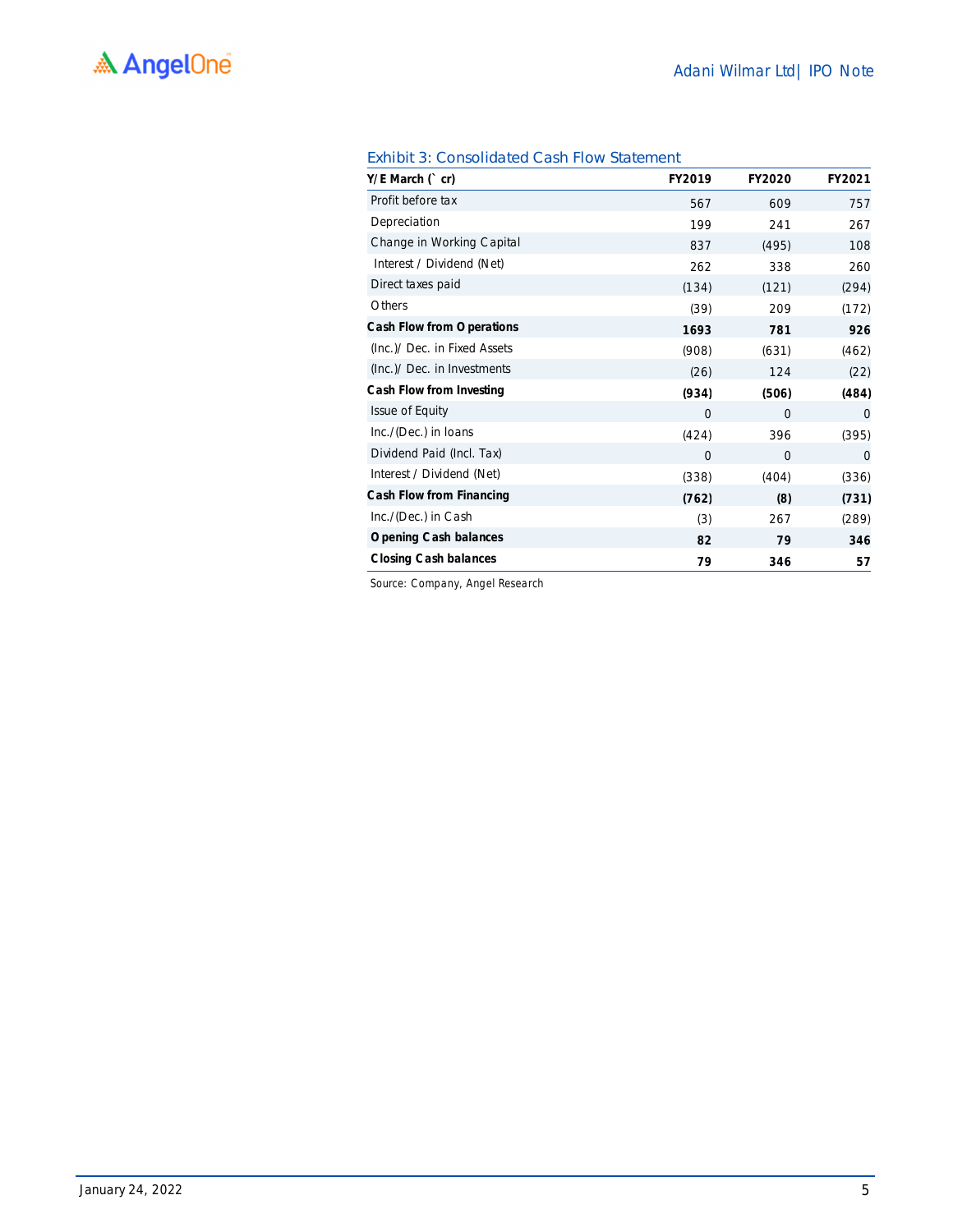| $Y/E$ March $('cr)$              | FY2019      | <b>FY2020</b>  | FY2021   |
|----------------------------------|-------------|----------------|----------|
| Profit before tax                | 567         | 609            | 757      |
| Depreciation                     | 199         | 241            | 267      |
| Change in Working Capital        | 837         | (495)          | 108      |
| Interest / Dividend (Net)        | 262         | 338            | 260      |
| Direct taxes paid                | (134)       | (121)          | (294)    |
| Others                           | (39)        | 209            | (172)    |
| <b>Cash Flow from Operations</b> | 1693        | 781            | 926      |
| (Inc.)/ Dec. in Fixed Assets     | (908)       | (631)          | (462)    |
| (Inc.)/ Dec. in Investments      | (26)        | 124            | (22)     |
| Cash Flow from Investing         | (934)       | (506)          | (484)    |
| <b>Issue of Equity</b>           | 0           | $\Omega$       | $\Omega$ |
| Inc./(Dec.) in Ioans             | (424)       | 396            | (395)    |
| Dividend Paid (Incl. Tax)        | $\mathbf 0$ | $\overline{0}$ | $\Omega$ |
| Interest / Dividend (Net)        | (338)       | (404)          | (336)    |
| Cash Flow from Financing         | (762)       | (8)            | (731)    |
| Inc./(Dec.) in Cash              | (3)         | 267            | (289)    |
| <b>Opening Cash balances</b>     | 82          | 79             | 346      |
| <b>Closing Cash balances</b>     | 79          | 346            | 57       |

### Exhibit 3: Consolidated Cash Flow Statement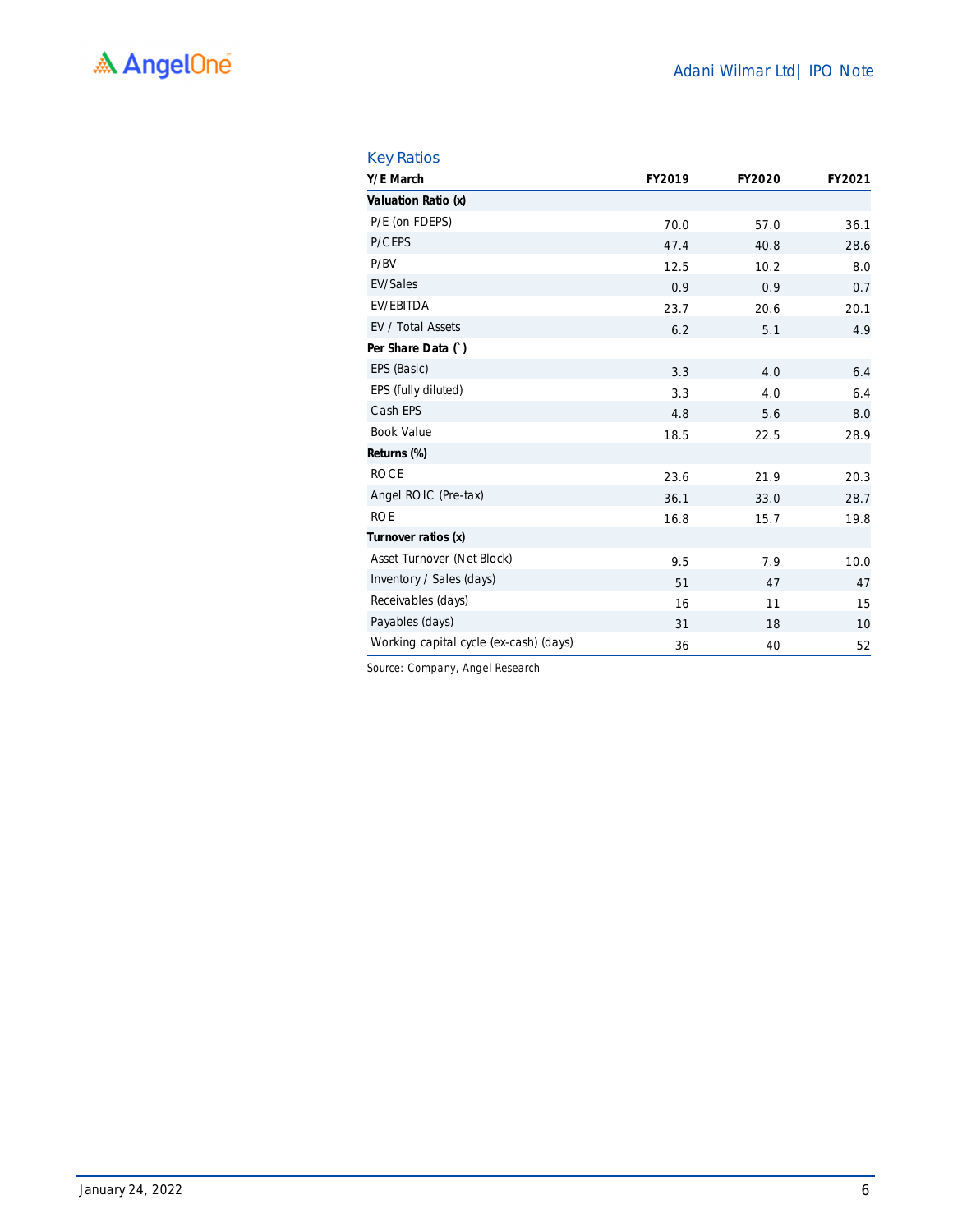| <b>Key Ratios</b> |  |
|-------------------|--|
|                   |  |

| Y/E March                              | <b>FY2019</b> | <b>FY2020</b> | FY2021 |
|----------------------------------------|---------------|---------------|--------|
| Valuation Ratio (x)                    |               |               |        |
| P/E (on FDEPS)                         | 70.0          | 57.0          | 36.1   |
| P/CEPS                                 | 47.4          | 40.8          | 28.6   |
| P/BV                                   | 12.5          | 10.2          | 8.0    |
| <b>EV/Sales</b>                        | 0.9           | 0.9           | 0.7    |
| EV/EBITDA                              | 23.7          | 20.6          | 20.1   |
| EV / Total Assets                      | 6.2           | 5.1           | 4.9    |
| Per Share Data ()                      |               |               |        |
| EPS (Basic)                            | 3.3           | 4.0           | 6.4    |
| EPS (fully diluted)                    | 3.3           | 4.0           | 6.4    |
| Cash EPS                               | 4.8           | 5.6           | 8.0    |
| <b>Book Value</b>                      | 18.5          | 22.5          | 28.9   |
| Returns (%)                            |               |               |        |
| <b>ROCE</b>                            | 23.6          | 21.9          | 20.3   |
| Angel ROIC (Pre-tax)                   | 36.1          | 33.0          | 28.7   |
| <b>ROE</b>                             | 16.8          | 15.7          | 19.8   |
| Turnover ratios (x)                    |               |               |        |
| Asset Turnover (Net Block)             | 9.5           | 7.9           | 10.0   |
| Inventory / Sales (days)               | 51            | 47            | 47     |
| Receivables (days)                     | 16            | 11            | 15     |
| Payables (days)                        | 31            | 18            | 10     |
| Working capital cycle (ex-cash) (days) | 36            | 40            | 52     |